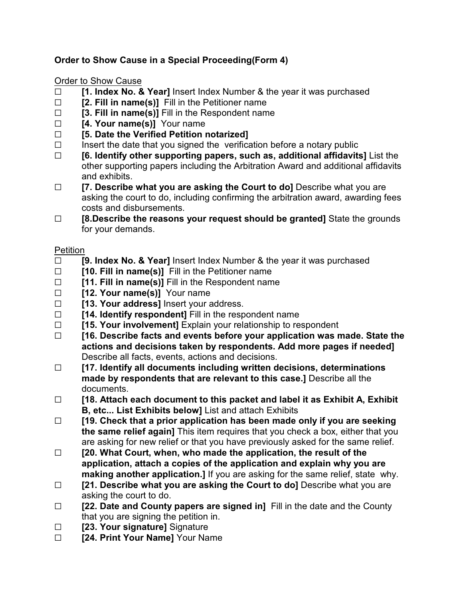## **Order to Show Cause in a Special Proceeding(Form 4)**

## Order to Show Cause

- **T [1. Index No. & Year]** Insert Index Number & the year it was purchased
- □ **[2. Fill in name(s)]** Fill in the Petitioner name
- G **[3. Fill in name(s)]** Fill in the Respondent name
- □ **[4. Your name(s)]** Your name
- G **[5. Date the Verified Petition notarized]**
- $\Box$  Insert the date that you signed the verification before a notary public
- G **[6. Identify other supporting papers, such as, additional affidavits]** List the other supporting papers including the Arbitration Award and additional affidavits and exhibits.
- □ **[7. Describe what you are asking the Court to do**] Describe what you are asking the court to do, including confirming the arbitration award, awarding fees costs and disbursements.
- □ **[8.Describe the reasons your request should be granted]** State the grounds for your demands.

## Petition

- G **[9. Index No. & Year]** Insert Index Number & the year it was purchased
- □ **[10. Fill in name(s)]** Fill in the Petitioner name
- □ **[11. Fill in name(s)]** Fill in the Respondent name
- □ **[12. Your name(s)]** Your name
- □ **[13. Your address]** lnsert your address.
- □ **[14. Identify respondent]** Fill in the respondent name
- G **[15. Your involvement]** Explain your relationship to respondent
- G **[16. Describe facts and events before your application was made. State the actions and decisions taken by respondents. Add more pages if needed]** Describe all facts, events, actions and decisions.
- G **[17. Identify all documents including written decisions, determinations made by respondents that are relevant to this case.]** Describe all the documents.
- G **[18. Attach each document to this packet and label it as Exhibit A, Exhibit B, etc... List Exhibits below]** List and attach Exhibits
- G **[19. Check that a prior application has been made only if you are seeking the same relief again]** This item requires that you check a box, either that you are asking for new relief or that you have previously asked for the same relief.
- G **[20. What Court, when, who made the application, the result of the application, attach a copies of the application and explain why you are making another application.]** If you are asking for the same relief, state why.
- □ **[21. Describe what you are asking the Court to do]** Describe what you are asking the court to do.
- □ **[22. Date and County papers are signed in]** Fill in the date and the County that you are signing the petition in.
- □ **[23. Your signature]** Signature
- **Example 24. Print Your Name** Your Name